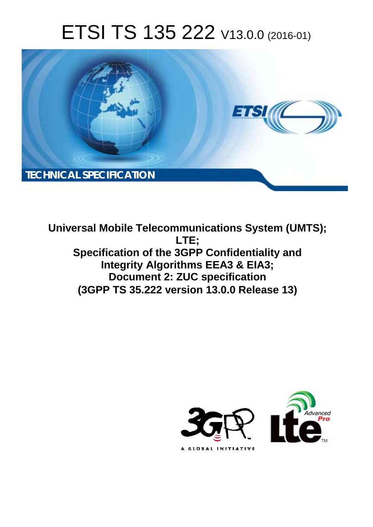# ETSI TS 135 222 V13.0.0 (2016-01)



**Universal Mobile Tel elecommunications System ( (UMTS); Specification of the 3GPP Confidentiality and Integrity Algorithms EEA3 & EIA3; Docume ent 2: ZUC specification (3GPP TS 35.2 .222 version 13.0.0 Release 13 13) LTE;** 

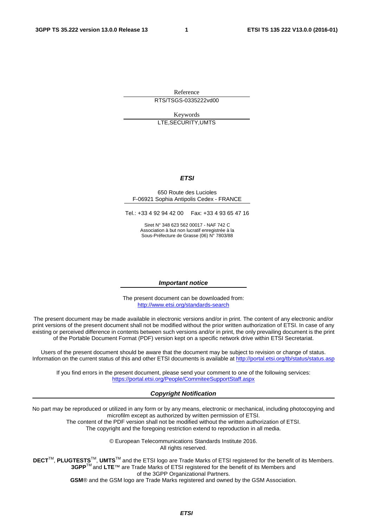Reference RTS/TSGS-0335222vd00

Keywords LTE,SECURITY,UMTS

#### *ETSI*

#### 650 Route des Lucioles F-06921 Sophia Antipolis Cedex - FRANCE

Tel.: +33 4 92 94 42 00 Fax: +33 4 93 65 47 16

Siret N° 348 623 562 00017 - NAF 742 C Association à but non lucratif enregistrée à la Sous-Préfecture de Grasse (06) N° 7803/88

#### *Important notice*

The present document can be downloaded from: <http://www.etsi.org/standards-search>

The present document may be made available in electronic versions and/or in print. The content of any electronic and/or print versions of the present document shall not be modified without the prior written authorization of ETSI. In case of any existing or perceived difference in contents between such versions and/or in print, the only prevailing document is the print of the Portable Document Format (PDF) version kept on a specific network drive within ETSI Secretariat.

Users of the present document should be aware that the document may be subject to revision or change of status. Information on the current status of this and other ETSI documents is available at <http://portal.etsi.org/tb/status/status.asp>

If you find errors in the present document, please send your comment to one of the following services: <https://portal.etsi.org/People/CommiteeSupportStaff.aspx>

#### *Copyright Notification*

No part may be reproduced or utilized in any form or by any means, electronic or mechanical, including photocopying and microfilm except as authorized by written permission of ETSI.

The content of the PDF version shall not be modified without the written authorization of ETSI.

The copyright and the foregoing restriction extend to reproduction in all media.

© European Telecommunications Standards Institute 2016. All rights reserved.

**DECT**TM, **PLUGTESTS**TM, **UMTS**TM and the ETSI logo are Trade Marks of ETSI registered for the benefit of its Members. **3GPP**TM and **LTE**™ are Trade Marks of ETSI registered for the benefit of its Members and of the 3GPP Organizational Partners.

**GSM**® and the GSM logo are Trade Marks registered and owned by the GSM Association.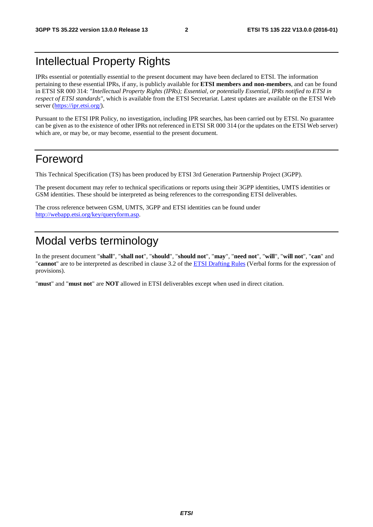# Intellectual Property Rights

IPRs essential or potentially essential to the present document may have been declared to ETSI. The information pertaining to these essential IPRs, if any, is publicly available for **ETSI members and non-members**, and can be found in ETSI SR 000 314: *"Intellectual Property Rights (IPRs); Essential, or potentially Essential, IPRs notified to ETSI in respect of ETSI standards"*, which is available from the ETSI Secretariat. Latest updates are available on the ETSI Web server [\(https://ipr.etsi.org/](https://ipr.etsi.org/)).

Pursuant to the ETSI IPR Policy, no investigation, including IPR searches, has been carried out by ETSI. No guarantee can be given as to the existence of other IPRs not referenced in ETSI SR 000 314 (or the updates on the ETSI Web server) which are, or may be, or may become, essential to the present document.

### Foreword

This Technical Specification (TS) has been produced by ETSI 3rd Generation Partnership Project (3GPP).

The present document may refer to technical specifications or reports using their 3GPP identities, UMTS identities or GSM identities. These should be interpreted as being references to the corresponding ETSI deliverables.

The cross reference between GSM, UMTS, 3GPP and ETSI identities can be found under [http://webapp.etsi.org/key/queryform.asp.](http://webapp.etsi.org/key/queryform.asp)

# Modal verbs terminology

In the present document "**shall**", "**shall not**", "**should**", "**should not**", "**may**", "**need not**", "**will**", "**will not**", "**can**" and "**cannot**" are to be interpreted as described in clause 3.2 of the [ETSI Drafting Rules](http://portal.etsi.org/Help/editHelp!/Howtostart/ETSIDraftingRules.aspx) (Verbal forms for the expression of provisions).

"**must**" and "**must not**" are **NOT** allowed in ETSI deliverables except when used in direct citation.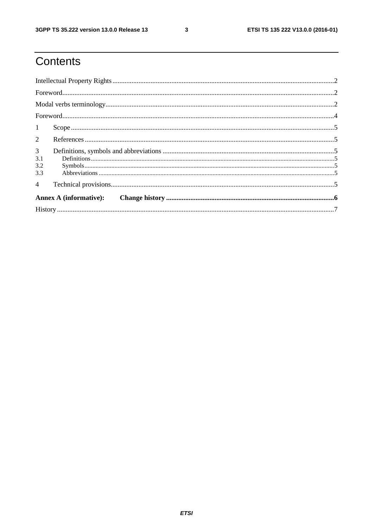$\mathbf{3}$ 

# Contents

| 1                                   |                               |  |  |  |  |  |  |
|-------------------------------------|-------------------------------|--|--|--|--|--|--|
| $\overline{2}$                      |                               |  |  |  |  |  |  |
| $\mathfrak{Z}$<br>3.1<br>3.2<br>3.3 |                               |  |  |  |  |  |  |
| $\overline{4}$                      |                               |  |  |  |  |  |  |
|                                     | <b>Annex A (informative):</b> |  |  |  |  |  |  |
|                                     |                               |  |  |  |  |  |  |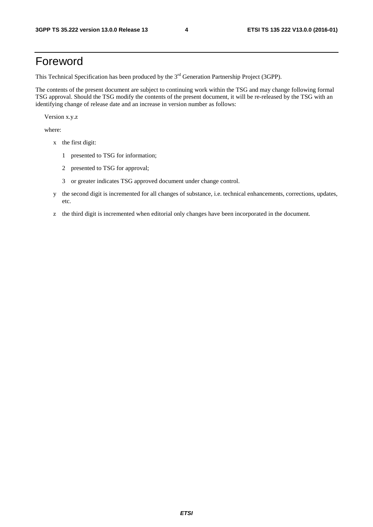## Foreword

This Technical Specification has been produced by the 3<sup>rd</sup> Generation Partnership Project (3GPP).

The contents of the present document are subject to continuing work within the TSG and may change following formal TSG approval. Should the TSG modify the contents of the present document, it will be re-released by the TSG with an identifying change of release date and an increase in version number as follows:

Version x.y.z

where:

- x the first digit:
	- 1 presented to TSG for information;
	- 2 presented to TSG for approval;
	- 3 or greater indicates TSG approved document under change control.
- y the second digit is incremented for all changes of substance, i.e. technical enhancements, corrections, updates, etc.
- z the third digit is incremented when editorial only changes have been incorporated in the document.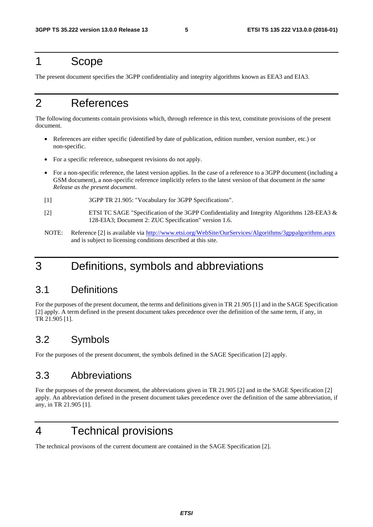### 1 Scope

The present document specifies the 3GPP confidentiality and integrity algorithms known as EEA3 and EIA3.

# 2 References

The following documents contain provisions which, through reference in this text, constitute provisions of the present document.

- References are either specific (identified by date of publication, edition number, version number, etc.) or non-specific.
- For a specific reference, subsequent revisions do not apply.
- For a non-specific reference, the latest version applies. In the case of a reference to a 3GPP document (including a GSM document), a non-specific reference implicitly refers to the latest version of that document *in the same Release as the present document*.
- [1] 3GPP TR 21.905: "Vocabulary for 3GPP Specifications".
- [2] ETSI TC SAGE "Specification of the 3GPP Confidentiality and Integrity Algorithms 128-EEA3 & 128-EIA3; Document 2: ZUC Specification" version 1.6.
- NOTE: Reference [2] is available via <http://www.etsi.org/WebSite/OurServices/Algorithms/3gppalgorithms.aspx> and is subject to licensing conditions described at this site.

# 3 Definitions, symbols and abbreviations

### 3.1 Definitions

For the purposes of the present document, the terms and definitions given in TR 21.905 [1] and in the SAGE Specification [2] apply. A term defined in the present document takes precedence over the definition of the same term, if any, in TR 21.905 [1].

### 3.2 Symbols

For the purposes of the present document, the symbols defined in the SAGE Specification [2] apply.

### 3.3 Abbreviations

For the purposes of the present document, the abbreviations given in TR 21.905 [2] and in the SAGE Specification [2] apply. An abbreviation defined in the present document takes precedence over the definition of the same abbreviation, if any, in TR 21.905 [1].

# 4 Technical provisions

The technical provisons of the current document are contained in the SAGE Specification [2].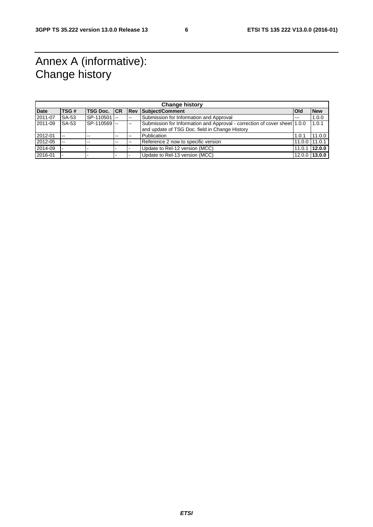# Annex A (informative): Change history

| <b>Change history</b> |       |                      |       |             |                                                                           |                |               |  |  |  |
|-----------------------|-------|----------------------|-------|-------------|---------------------------------------------------------------------------|----------------|---------------|--|--|--|
| <b>Date</b>           | TSG#  | <b>ITSG Doc. ICR</b> |       | <b>IRev</b> | Subject/Comment                                                           | <b>l</b> Old   | <b>New</b>    |  |  |  |
| 2011-07               | SA-53 | SP-110501 -          |       | $- -$       | Submission for Information and Approval                                   | $- - -$        | 1.0.0         |  |  |  |
| 2011-09               | SA-53 | SP-110569            |       | --          | Submission for Information and Approval - correction of cover sheet 1.0.0 |                | 1.0.1         |  |  |  |
|                       |       |                      |       |             | and update of TSG Doc. field in Change History                            |                |               |  |  |  |
| 2012-01               | $-1$  | $-$                  | $- -$ |             | Publication                                                               | 1.0.1          | 11.0.0        |  |  |  |
| 2012-05               | $-1$  | $-$                  | $- -$ |             | Reference 2 now to specific version                                       | 11.0.0 111.0.1 |               |  |  |  |
| 2014-09               |       |                      |       |             | Update to Rel-12 version (MCC)                                            | 11.0.1         | 12.0.0        |  |  |  |
| 2016-01               |       |                      |       |             | Update to Rel-13 version (MCC)                                            |                | 12.0.0 13.0.0 |  |  |  |